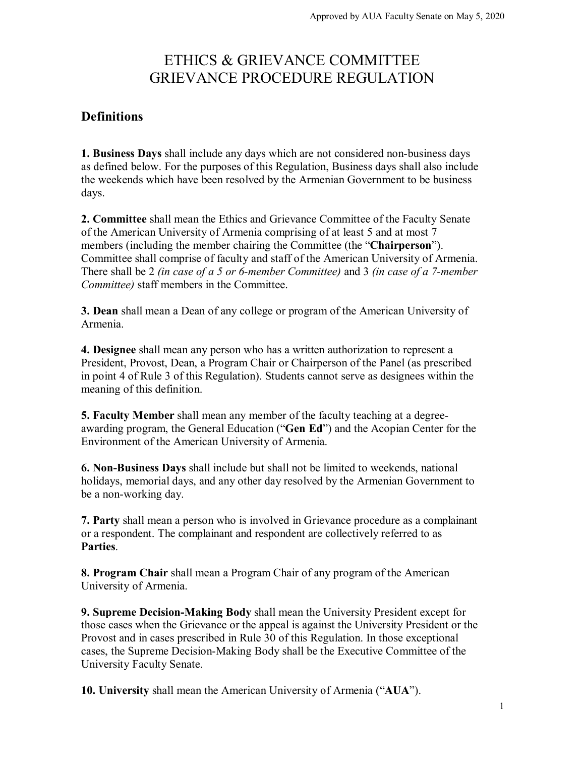# ETHICS & GRIEVANCE COMMITTEE GRIEVANCE PROCEDURE REGULATION

# **Definitions**

**1. Business Days** shall include any days which are not considered non-business days as defined below. For the purposes of this Regulation, Business days shall also include the weekends which have been resolved by the Armenian Government to be business days.

**2. Committee** shall mean the Ethics and Grievance Committee of the Faculty Senate of the American University of Armenia comprising of at least 5 and at most 7 members (including the member chairing the Committee (the "**Chairperson**"). Committee shall comprise of faculty and staff of the American University of Armenia. There shall be 2 *(in case of a 5 or 6-member Committee)* and 3 *(in case of a 7-member Committee)* staff members in the Committee.

**3. Dean** shall mean a Dean of any college or program of the American University of Armenia.

**4. Designee** shall mean any person who has a written authorization to represent a President, Provost, Dean, a Program Chair or Chairperson of the Panel (as prescribed in point 4 of Rule 3 of this Regulation). Students cannot serve as designees within the meaning of this definition.

**5. Faculty Member** shall mean any member of the faculty teaching at a degreeawarding program, the General Education ("**Gen Ed**") and the Acopian Center for the Environment of the American University of Armenia.

**6. Non-Business Days** shall include but shall not be limited to weekends, national holidays, memorial days, and any other day resolved by the Armenian Government to be a non-working day.

**7. Party** shall mean a person who is involved in Grievance procedure as a complainant or a respondent. The complainant and respondent are collectively referred to as **Parties**.

**8. Program Chair** shall mean a Program Chair of any program of the American University of Armenia.

**9. Supreme Decision-Making Body** shall mean the University President except for those cases when the Grievance or the appeal is against the University President or the Provost and in cases prescribed in Rule 30 of this Regulation. In those exceptional cases, the Supreme Decision-Making Body shall be the Executive Committee of the University Faculty Senate.

**10. University** shall mean the American University of Armenia ("**AUA**").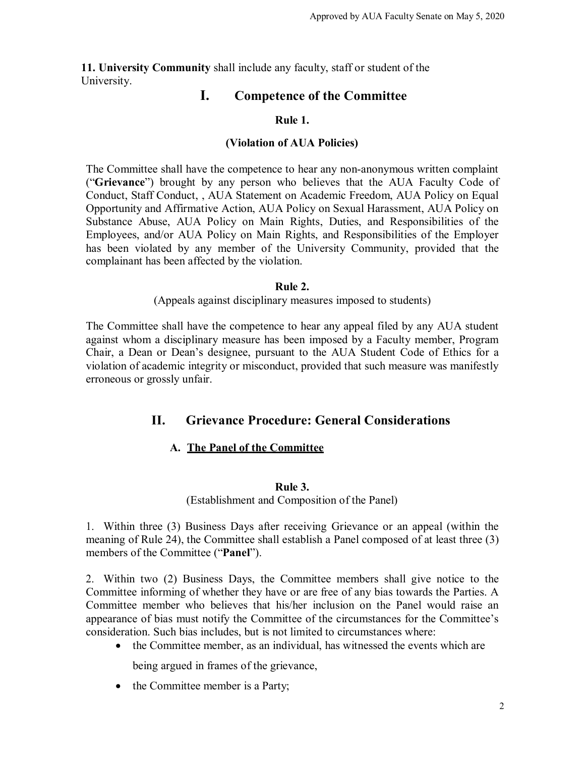**11. University Community** shall include any faculty, staff or student of the University.

# **I. Competence of the Committee**

# **Rule 1.**

# **(Violation of AUA Policies)**

The Committee shall have the competence to hear any non-anonymous written complaint ("**Grievance**") brought by any person who believes that the AUA Faculty Code of Conduct, Staff Conduct, , AUA Statement on Academic Freedom, AUA Policy on Equal Opportunity and Affirmative Action, AUA Policy on Sexual Harassment, AUA Policy on Substance Abuse, AUA Policy on Main Rights, Duties, and Responsibilities of the Employees, and/or AUA Policy on Main Rights, and Responsibilities of the Employer has been violated by any member of the University Community, provided that the complainant has been affected by the violation.

# **Rule 2.**

(Appeals against disciplinary measures imposed to students)

The Committee shall have the competence to hear any appeal filed by any AUA student against whom a disciplinary measure has been imposed by a Faculty member, Program Chair, a Dean or Dean's designee, pursuant to the AUA Student Code of Ethics for a violation of academic integrity or misconduct, provided that such measure was manifestly erroneous or grossly unfair.

# **II. Grievance Procedure: General Considerations**

# **A. The Panel of the Committee**

## **Rule 3.**

(Establishment and Composition of the Panel)

1. Within three (3) Business Days after receiving Grievance or an appeal (within the meaning of Rule 24), the Committee shall establish a Panel composed of at least three (3) members of the Committee ("**Panel**").

2. Within two (2) Business Days, the Committee members shall give notice to the Committee informing of whether they have or are free of any bias towards the Parties. A Committee member who believes that his/her inclusion on the Panel would raise an appearance of bias must notify the Committee of the circumstances for the Committee's consideration. Such bias includes, but is not limited to circumstances where:

• the Committee member, as an individual, has witnessed the events which are

being argued in frames of the grievance,

• the Committee member is a Party;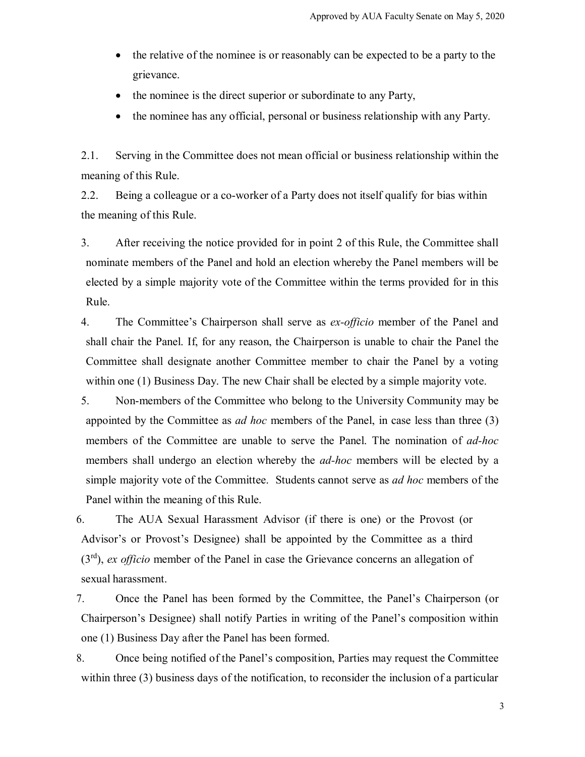- the relative of the nominee is or reasonably can be expected to be a party to the grievance.
- the nominee is the direct superior or subordinate to any Party,
- the nominee has any official, personal or business relationship with any Party.

2.1. Serving in the Committee does not mean official or business relationship within the meaning of this Rule.

2.2. Being a colleague or a co-worker of a Party does not itself qualify for bias within the meaning of this Rule.

3. After receiving the notice provided for in point 2 of this Rule, the Committee shall nominate members of the Panel and hold an election whereby the Panel members will be elected by a simple majority vote of the Committee within the terms provided for in this Rule.

- 4. The Committee's Chairperson shall serve as *ex-officio* member of the Panel and shall chair the Panel. If, for any reason, the Chairperson is unable to chair the Panel the Committee shall designate another Committee member to chair the Panel by a voting within one (1) Business Day. The new Chair shall be elected by a simple majority vote.
- 5. Non-members of the Committee who belong to the University Community may be appointed by the Committee as *ad hoc* members of the Panel, in case less than three (3) members of the Committee are unable to serve the Panel. The nomination of *ad-hoc* members shall undergo an election whereby the *ad-hoc* members will be elected by a simple majority vote of the Committee. Students cannot serve as *ad hoc* members of the Panel within the meaning of this Rule.

6. The AUA Sexual Harassment Advisor (if there is one) or the Provost (or Advisor's or Provost's Designee) shall be appointed by the Committee as a third (3rd), *ex officio* member of the Panel in case the Grievance concerns an allegation of sexual harassment.

7. Once the Panel has been formed by the Committee, the Panel's Chairperson (or Chairperson's Designee) shall notify Parties in writing of the Panel's composition within one (1) Business Day after the Panel has been formed.

8. Once being notified of the Panel's composition, Parties may request the Committee within three (3) business days of the notification, to reconsider the inclusion of a particular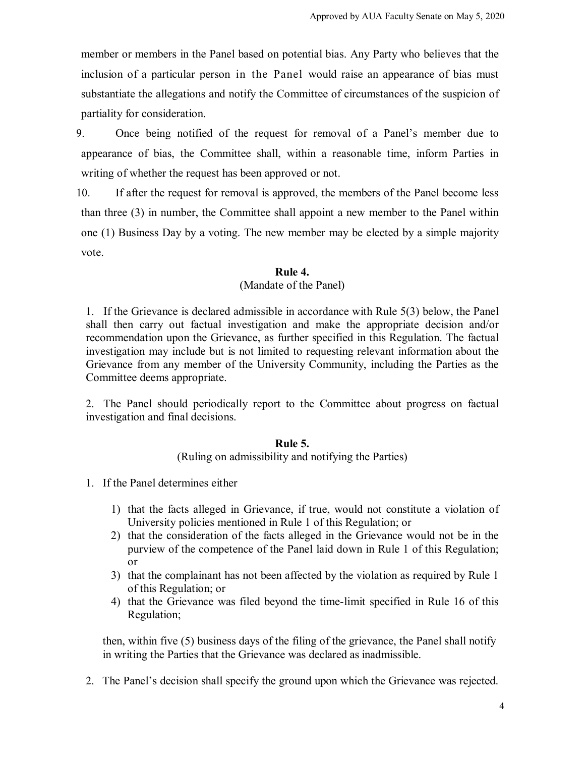member or members in the Panel based on potential bias. Any Party who believes that the inclusion of a particular person in the Panel would raise an appearance of bias must substantiate the allegations and notify the Committee of circumstances of the suspicion of partiality for consideration.

9. Once being notified of the request for removal of a Panel's member due to appearance of bias, the Committee shall, within a reasonable time, inform Parties in writing of whether the request has been approved or not.

10. If after the request for removal is approved, the members of the Panel become less than three (3) in number, the Committee shall appoint a new member to the Panel within one (1) Business Day by a voting. The new member may be elected by a simple majority vote.

#### **Rule 4.**

## (Mandate of the Panel)

1. If the Grievance is declared admissible in accordance with Rule 5(3) below, the Panel shall then carry out factual investigation and make the appropriate decision and/or recommendation upon the Grievance, as further specified in this Regulation. The factual investigation may include but is not limited to requesting relevant information about the Grievance from any member of the University Community, including the Parties as the Committee deems appropriate.

2. The Panel should periodically report to the Committee about progress on factual investigation and final decisions.

#### **Rule 5.**

(Ruling on admissibility and notifying the Parties)

- 1. If the Panel determines either
	- 1) that the facts alleged in Grievance, if true, would not constitute a violation of University policies mentioned in Rule 1 of this Regulation; or
	- 2) that the consideration of the facts alleged in the Grievance would not be in the purview of the competence of the Panel laid down in Rule 1 of this Regulation; or
	- 3) that the complainant has not been affected by the violation as required by Rule 1 of this Regulation; or
	- 4) that the Grievance was filed beyond the time-limit specified in Rule 16 of this Regulation;

then, within five (5) business days of the filing of the grievance, the Panel shall notify in writing the Parties that the Grievance was declared as inadmissible.

2. The Panel's decision shall specify the ground upon which the Grievance was rejected.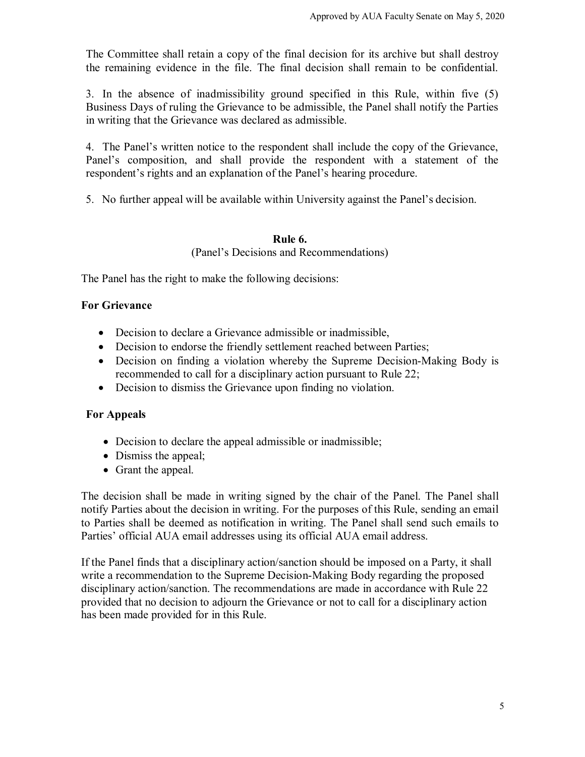The Committee shall retain a copy of the final decision for its archive but shall destroy the remaining evidence in the file. The final decision shall remain to be confidential.

3. In the absence of inadmissibility ground specified in this Rule, within five (5) Business Days of ruling the Grievance to be admissible, the Panel shall notify the Parties in writing that the Grievance was declared as admissible.

4. The Panel's written notice to the respondent shall include the copy of the Grievance, Panel's composition, and shall provide the respondent with a statement of the respondent's rights and an explanation of the Panel's hearing procedure.

5. No further appeal will be available within University against the Panel's decision.

# **Rule 6.**

(Panel's Decisions and Recommendations)

The Panel has the right to make the following decisions:

# **For Grievance**

- Decision to declare a Grievance admissible or inadmissible,
- Decision to endorse the friendly settlement reached between Parties;
- Decision on finding a violation whereby the Supreme Decision-Making Body is recommended to call for a disciplinary action pursuant to Rule 22;
- Decision to dismiss the Grievance upon finding no violation.

# **For Appeals**

- Decision to declare the appeal admissible or inadmissible;
- Dismiss the appeal;
- Grant the appeal.

The decision shall be made in writing signed by the chair of the Panel. The Panel shall notify Parties about the decision in writing. For the purposes of this Rule, sending an email to Parties shall be deemed as notification in writing. The Panel shall send such emails to Parties' official AUA email addresses using its official AUA email address.

If the Panel finds that a disciplinary action/sanction should be imposed on a Party, it shall write a recommendation to the Supreme Decision-Making Body regarding the proposed disciplinary action/sanction. The recommendations are made in accordance with Rule 22 provided that no decision to adjourn the Grievance or not to call for a disciplinary action has been made provided for in this Rule.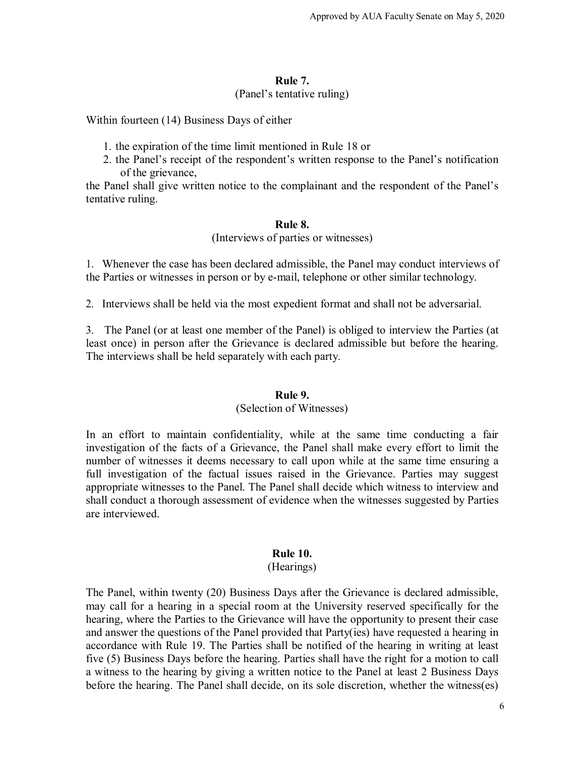## **Rule 7.** (Panel's tentative ruling)

Within fourteen (14) Business Days of either

- 1. the expiration of the time limit mentioned in Rule 18 or
- 2. the Panel's receipt of the respondent's written response to the Panel's notification of the grievance,

the Panel shall give written notice to the complainant and the respondent of the Panel's tentative ruling.

## **Rule 8.**

(Interviews of parties or witnesses)

1. Whenever the case has been declared admissible, the Panel may conduct interviews of the Parties or witnesses in person or by e-mail, telephone or other similar technology.

2. Interviews shall be held via the most expedient format and shall not be adversarial.

3. The Panel (or at least one member of the Panel) is obliged to interview the Parties (at least once) in person after the Grievance is declared admissible but before the hearing. The interviews shall be held separately with each party.

## **Rule 9.**

## (Selection of Witnesses)

In an effort to maintain confidentiality, while at the same time conducting a fair investigation of the facts of a Grievance, the Panel shall make every effort to limit the number of witnesses it deems necessary to call upon while at the same time ensuring a full investigation of the factual issues raised in the Grievance. Parties may suggest appropriate witnesses to the Panel. The Panel shall decide which witness to interview and shall conduct a thorough assessment of evidence when the witnesses suggested by Parties are interviewed.

## **Rule 10.**

#### (Hearings)

The Panel, within twenty (20) Business Days after the Grievance is declared admissible, may call for a hearing in a special room at the University reserved specifically for the hearing, where the Parties to the Grievance will have the opportunity to present their case and answer the questions of the Panel provided that Party(ies) have requested a hearing in accordance with Rule 19. The Parties shall be notified of the hearing in writing at least five (5) Business Days before the hearing. Parties shall have the right for a motion to call a witness to the hearing by giving a written notice to the Panel at least 2 Business Days before the hearing. The Panel shall decide, on its sole discretion, whether the witness(es)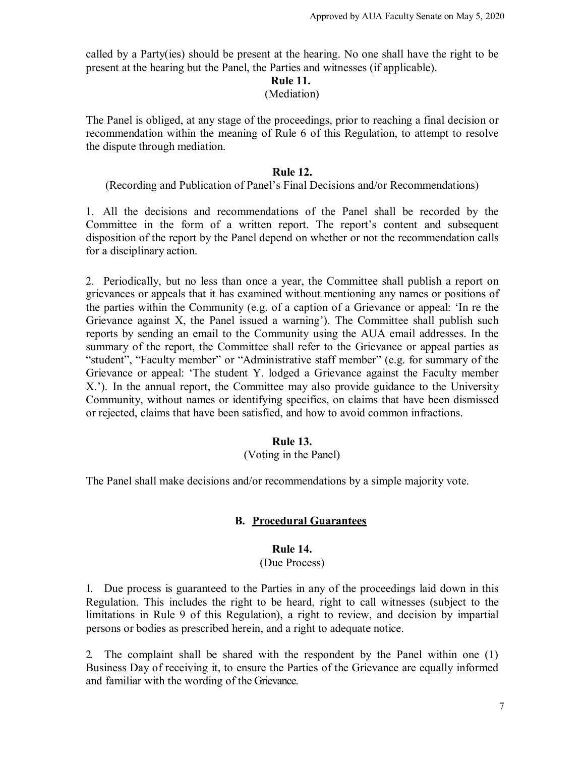called by a Party(ies) should be present at the hearing. No one shall have the right to be present at the hearing but the Panel, the Parties and witnesses (if applicable).

## **Rule 11.**

#### (Mediation)

The Panel is obliged, at any stage of the proceedings, prior to reaching a final decision or recommendation within the meaning of Rule 6 of this Regulation, to attempt to resolve the dispute through mediation.

## **Rule 12.**

(Recording and Publication of Panel's Final Decisions and/or Recommendations)

1. All the decisions and recommendations of the Panel shall be recorded by the Committee in the form of a written report. The report's content and subsequent disposition of the report by the Panel depend on whether or not the recommendation calls for a disciplinary action.

2. Periodically, but no less than once a year, the Committee shall publish a report on grievances or appeals that it has examined without mentioning any names or positions of the parties within the Community (e.g. of a caption of a Grievance or appeal: 'In re the Grievance against X, the Panel issued a warning'). The Committee shall publish such reports by sending an email to the Community using the AUA email addresses. In the summary of the report, the Committee shall refer to the Grievance or appeal parties as "student", "Faculty member" or "Administrative staff member" (e.g. for summary of the Grievance or appeal: 'The student Y. lodged a Grievance against the Faculty member X.'). In the annual report, the Committee may also provide guidance to the University Community, without names or identifying specifics, on claims that have been dismissed or rejected, claims that have been satisfied, and how to avoid common infractions.

# **Rule 13.**

## (Voting in the Panel)

The Panel shall make decisions and/or recommendations by a simple majority vote.

# **B. Procedural Guarantees**

## **Rule 14.**

## (Due Process)

1. Due process is guaranteed to the Parties in any of the proceedings laid down in this Regulation. This includes the right to be heard, right to call witnesses (subject to the limitations in Rule 9 of this Regulation), a right to review, and decision by impartial persons or bodies as prescribed herein, and a right to adequate notice.

2. The complaint shall be shared with the respondent by the Panel within one (1) Business Day of receiving it, to ensure the Parties of the Grievance are equally informed and familiar with the wording of the Grievance.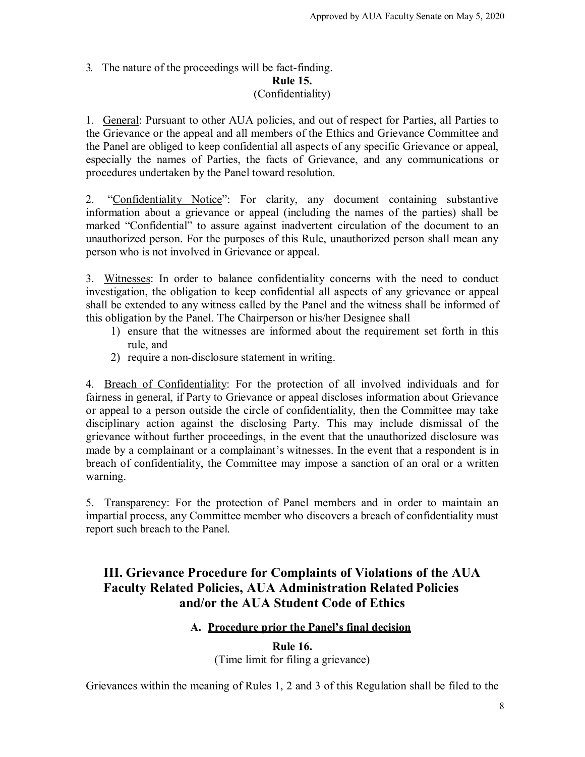## 3. The nature of the proceedings will be fact-finding. **Rule 15.** (Confidentiality)

1. General: Pursuant to other AUA policies, and out of respect for Parties, all Parties to the Grievance or the appeal and all members of the Ethics and Grievance Committee and the Panel are obliged to keep confidential all aspects of any specific Grievance or appeal, especially the names of Parties, the facts of Grievance, and any communications or procedures undertaken by the Panel toward resolution.

2. "Confidentiality Notice": For clarity, any document containing substantive information about a grievance or appeal (including the names of the parties) shall be marked "Confidential" to assure against inadvertent circulation of the document to an unauthorized person. For the purposes of this Rule, unauthorized person shall mean any person who is not involved in Grievance or appeal.

3. Witnesses: In order to balance confidentiality concerns with the need to conduct investigation, the obligation to keep confidential all aspects of any grievance or appeal shall be extended to any witness called by the Panel and the witness shall be informed of this obligation by the Panel. The Chairperson or his/her Designee shall

- 1) ensure that the witnesses are informed about the requirement set forth in this rule, and
- 2) require a non-disclosure statement in writing.

4. Breach of Confidentiality: For the protection of all involved individuals and for fairness in general, if Party to Grievance or appeal discloses information about Grievance or appeal to a person outside the circle of confidentiality, then the Committee may take disciplinary action against the disclosing Party. This may include dismissal of the grievance without further proceedings, in the event that the unauthorized disclosure was made by a complainant or a complainant's witnesses. In the event that a respondent is in breach of confidentiality, the Committee may impose a sanction of an oral or a written warning.

5. Transparency: For the protection of Panel members and in order to maintain an impartial process, any Committee member who discovers a breach of confidentiality must report such breach to the Panel.

# **III. Grievance Procedure for Complaints of Violations of the AUA Faculty Related Policies, AUA Administration Related Policies and/or the AUA Student Code of Ethics**

# **A. Procedure prior the Panel's final decision**

**Rule 16.** (Time limit for filing a grievance)

Grievances within the meaning of Rules 1, 2 and 3 of this Regulation shall be filed to the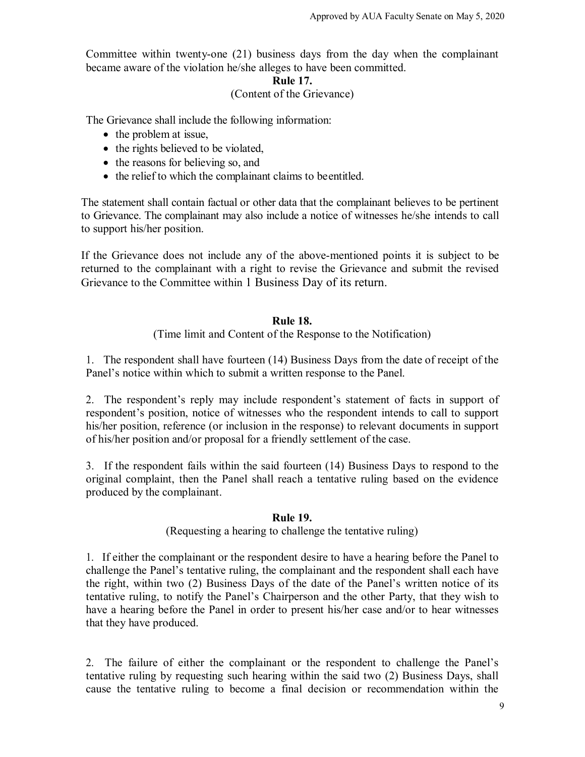Committee within twenty-one (21) business days from the day when the complainant became aware of the violation he/she alleges to have been committed.

### **Rule 17.**

## (Content of the Grievance)

The Grievance shall include the following information:

- the problem at issue,
- the rights believed to be violated,
- the reasons for believing so, and
- the relief to which the complainant claims to be entitled.

The statement shall contain factual or other data that the complainant believes to be pertinent to Grievance. The complainant may also include a notice of witnesses he/she intends to call to support his/her position.

If the Grievance does not include any of the above-mentioned points it is subject to be returned to the complainant with a right to revise the Grievance and submit the revised Grievance to the Committee within 1 Business Day of its return.

# **Rule 18.**

# (Time limit and Content of the Response to the Notification)

1. The respondent shall have fourteen (14) Business Days from the date of receipt of the Panel's notice within which to submit a written response to the Panel.

2. The respondent's reply may include respondent's statement of facts in support of respondent's position, notice of witnesses who the respondent intends to call to support his/her position, reference (or inclusion in the response) to relevant documents in support of his/her position and/or proposal for a friendly settlement of the case.

3. If the respondent fails within the said fourteen (14) Business Days to respond to the original complaint, then the Panel shall reach a tentative ruling based on the evidence produced by the complainant.

# **Rule 19.**

# (Requesting a hearing to challenge the tentative ruling)

1. If either the complainant or the respondent desire to have a hearing before the Panel to challenge the Panel's tentative ruling, the complainant and the respondent shall each have the right, within two (2) Business Days of the date of the Panel's written notice of its tentative ruling, to notify the Panel's Chairperson and the other Party, that they wish to have a hearing before the Panel in order to present his/her case and/or to hear witnesses that they have produced.

2. The failure of either the complainant or the respondent to challenge the Panel's tentative ruling by requesting such hearing within the said two (2) Business Days, shall cause the tentative ruling to become a final decision or recommendation within the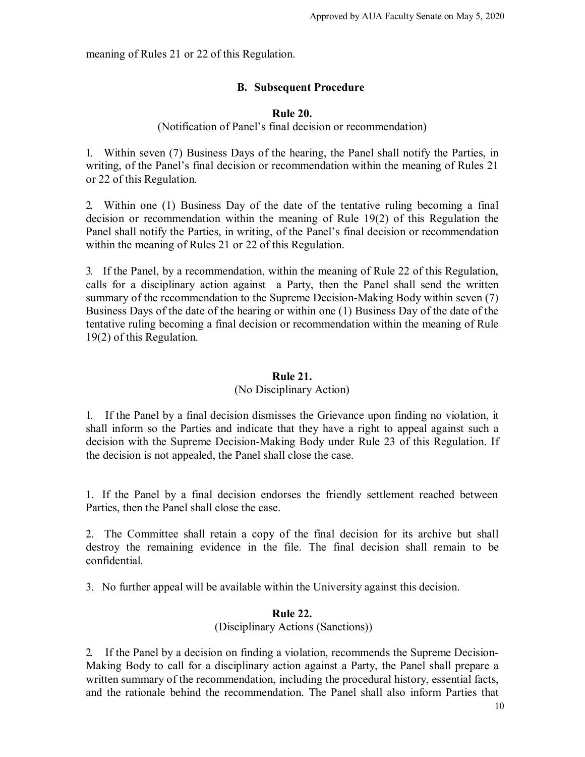meaning of Rules 21 or 22 of this Regulation.

# **B. Subsequent Procedure**

## **Rule 20.**

(Notification of Panel's final decision or recommendation)

1. Within seven (7) Business Days of the hearing, the Panel shall notify the Parties, in writing, of the Panel's final decision or recommendation within the meaning of Rules 21 or 22 of this Regulation.

2. Within one (1) Business Day of the date of the tentative ruling becoming a final decision or recommendation within the meaning of Rule 19(2) of this Regulation the Panel shall notify the Parties, in writing, of the Panel's final decision or recommendation within the meaning of Rules 21 or 22 of this Regulation.

3. If the Panel, by a recommendation, within the meaning of Rule 22 of this Regulation, calls for a disciplinary action against a Party, then the Panel shall send the written summary of the recommendation to the Supreme Decision-Making Body within seven (7) Business Days of the date of the hearing or within one (1) Business Day of the date of the tentative ruling becoming a final decision or recommendation within the meaning of Rule 19(2) of this Regulation.

## **Rule 21.**

# (No Disciplinary Action)

1. If the Panel by a final decision dismisses the Grievance upon finding no violation, it shall inform so the Parties and indicate that they have a right to appeal against such a decision with the Supreme Decision-Making Body under Rule 23 of this Regulation. If the decision is not appealed, the Panel shall close the case.

1. If the Panel by a final decision endorses the friendly settlement reached between Parties, then the Panel shall close the case.

2. The Committee shall retain a copy of the final decision for its archive but shall destroy the remaining evidence in the file. The final decision shall remain to be confidential.

3. No further appeal will be available within the University against this decision.

## **Rule 22.**

(Disciplinary Actions (Sanctions))

2. If the Panel by a decision on finding a violation, recommends the Supreme Decision-Making Body to call for a disciplinary action against a Party, the Panel shall prepare a written summary of the recommendation, including the procedural history, essential facts, and the rationale behind the recommendation. The Panel shall also inform Parties that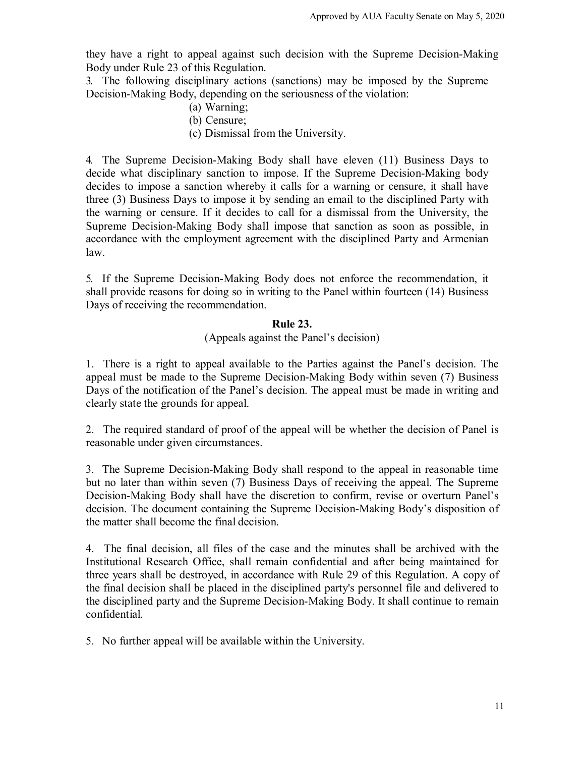they have a right to appeal against such decision with the Supreme Decision-Making Body under Rule 23 of this Regulation.

3. The following disciplinary actions (sanctions) may be imposed by the Supreme Decision-Making Body, depending on the seriousness of the violation:

- (a) Warning;
- (b) Censure;
- (c) Dismissal from the University.

4. The Supreme Decision-Making Body shall have eleven (11) Business Days to decide what disciplinary sanction to impose. If the Supreme Decision-Making body decides to impose a sanction whereby it calls for a warning or censure, it shall have three (3) Business Days to impose it by sending an email to the disciplined Party with the warning or censure. If it decides to call for a dismissal from the University, the Supreme Decision-Making Body shall impose that sanction as soon as possible, in accordance with the employment agreement with the disciplined Party and Armenian law.

5. If the Supreme Decision-Making Body does not enforce the recommendation, it shall provide reasons for doing so in writing to the Panel within fourteen (14) Business Days of receiving the recommendation.

## **Rule 23.**

## (Appeals against the Panel's decision)

1. There is a right to appeal available to the Parties against the Panel's decision. The appeal must be made to the Supreme Decision-Making Body within seven (7) Business Days of the notification of the Panel's decision. The appeal must be made in writing and clearly state the grounds for appeal.

2. The required standard of proof of the appeal will be whether the decision of Panel is reasonable under given circumstances.

3. The Supreme Decision-Making Body shall respond to the appeal in reasonable time but no later than within seven (7) Business Days of receiving the appeal. The Supreme Decision-Making Body shall have the discretion to confirm, revise or overturn Panel's decision. The document containing the Supreme Decision-Making Body's disposition of the matter shall become the final decision.

4. The final decision, all files of the case and the minutes shall be archived with the Institutional Research Office, shall remain confidential and after being maintained for three years shall be destroyed, in accordance with Rule 29 of this Regulation. A copy of the final decision shall be placed in the disciplined party's personnel file and delivered to the disciplined party and the Supreme Decision-Making Body. It shall continue to remain confidential.

5. No further appeal will be available within the University.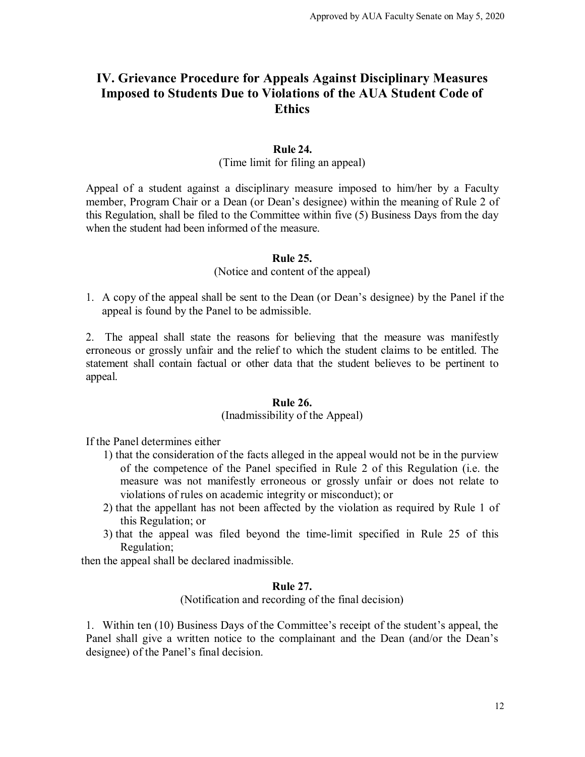# **IV. Grievance Procedure for Appeals Against Disciplinary Measures Imposed to Students Due to Violations of the AUA Student Code of Ethics**

## **Rule 24.**

(Time limit for filing an appeal)

Appeal of a student against a disciplinary measure imposed to him/her by a Faculty member, Program Chair or a Dean (or Dean's designee) within the meaning of Rule 2 of this Regulation, shall be filed to the Committee within five (5) Business Days from the day when the student had been informed of the measure.

#### **Rule 25.**

(Notice and content of the appeal)

1. A copy of the appeal shall be sent to the Dean (or Dean's designee) by the Panel if the appeal is found by the Panel to be admissible.

2. The appeal shall state the reasons for believing that the measure was manifestly erroneous or grossly unfair and the relief to which the student claims to be entitled. The statement shall contain factual or other data that the student believes to be pertinent to appeal.

#### **Rule 26.**

## (Inadmissibility of the Appeal)

If the Panel determines either

- 1) that the consideration of the facts alleged in the appeal would not be in the purview of the competence of the Panel specified in Rule 2 of this Regulation (i.e. the measure was not manifestly erroneous or grossly unfair or does not relate to violations of rules on academic integrity or misconduct); or
- 2) that the appellant has not been affected by the violation as required by Rule 1 of this Regulation; or
- 3) that the appeal was filed beyond the time-limit specified in Rule 25 of this Regulation;

then the appeal shall be declared inadmissible.

## **Rule 27.**

(Notification and recording of the final decision)

1. Within ten (10) Business Days of the Committee's receipt of the student's appeal, the Panel shall give a written notice to the complainant and the Dean (and/or the Dean's designee) of the Panel's final decision.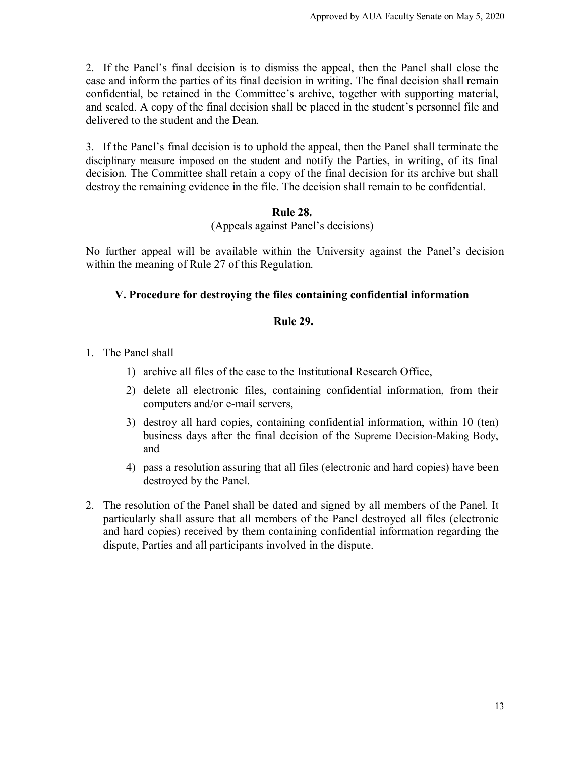2. If the Panel's final decision is to dismiss the appeal, then the Panel shall close the case and inform the parties of its final decision in writing. The final decision shall remain confidential, be retained in the Committee's archive, together with supporting material, and sealed. A copy of the final decision shall be placed in the student's personnel file and delivered to the student and the Dean.

3. If the Panel's final decision is to uphold the appeal, then the Panel shall terminate the disciplinary measure imposed on the student and notify the Parties, in writing, of its final decision. The Committee shall retain a copy of the final decision for its archive but shall destroy the remaining evidence in the file. The decision shall remain to be confidential.

# **Rule 28.**

(Appeals against Panel's decisions)

No further appeal will be available within the University against the Panel's decision within the meaning of Rule 27 of this Regulation.

# **V. Procedure for destroying the files containing confidential information**

# **Rule 29.**

- 1. The Panel shall
	- 1) archive all files of the case to the Institutional Research Office,
	- 2) delete all electronic files, containing confidential information, from their computers and/or e-mail servers,
	- 3) destroy all hard copies, containing confidential information, within 10 (ten) business days after the final decision of the Supreme Decision-Making Body, and
	- 4) pass a resolution assuring that all files (electronic and hard copies) have been destroyed by the Panel.
- 2. The resolution of the Panel shall be dated and signed by all members of the Panel. It particularly shall assure that all members of the Panel destroyed all files (electronic and hard copies) received by them containing confidential information regarding the dispute, Parties and all participants involved in the dispute.